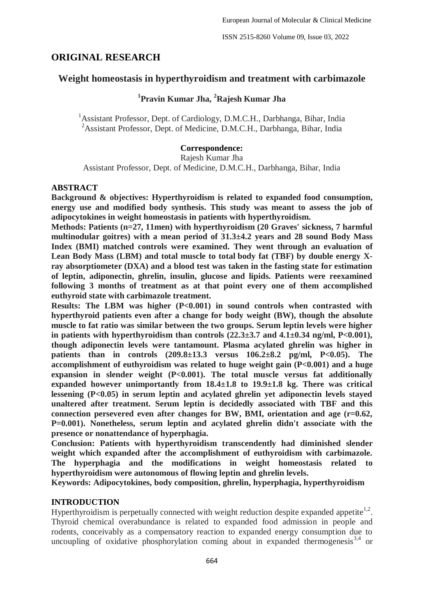# **ORIGINAL RESEARCH**

# **Weight homeostasis in hyperthyroidism and treatment with carbimazole**

# **1 Pravin Kumar Jha, <sup>2</sup>Rajesh Kumar Jha**

<sup>1</sup> Assistant Professor, Dept. of Cardiology, D.M.C.H., Darbhanga, Bihar, India <sup>2</sup>Assistant Professor, Dept. of Medicine, D.M.C.H., Darbhanga, Bihar, India

### **Correspondence:**

Rajesh Kumar Jha

Assistant Professor, Dept. of Medicine, D.M.C.H., Darbhanga, Bihar, India

### **ABSTRACT**

**Background & objectives: Hyperthyroidism is related to expanded food consumption, energy use and modified body synthesis. This study was meant to assess the job of adipocytokines in weight homeostasis in patients with hyperthyroidism.**

**Methods: Patients (n=27, 11men) with hyperthyroidism (20 Graves' sickness, 7 harmful multinodular goitres) with a mean period of 31.3±4.2 years and 28 sound Body Mass Index (BMI) matched controls were examined. They went through an evaluation of Lean Body Mass (LBM) and total muscle to total body fat (TBF) by double energy Xray absorptiometer (DXA) and a blood test was taken in the fasting state for estimation of leptin, adiponectin, ghrelin, insulin, glucose and lipids. Patients were reexamined following 3 months of treatment as at that point every one of them accomplished euthyroid state with carbimazole treatment.**

**Results: The LBM was higher (P<0.001) in sound controls when contrasted with hyperthyroid patients even after a change for body weight (BW), though the absolute muscle to fat ratio was similar between the two groups. Serum leptin levels were higher**  in patients with hyperthyroidism than controls  $(22.3\pm3.7 \text{ and } 4.1\pm0.34 \text{ ng/ml}, P<0.001)$ , **though adiponectin levels were tantamount. Plasma acylated ghrelin was higher in patients than in controls (209.8±13.3 versus 106.2±8.2 pg/ml, P<0.05). The accomplishment of euthyroidism was related to huge weight gain (P<0.001) and a huge expansion in slender weight (P<0.001). The total muscle versus fat additionally expanded however unimportantly from 18.4±1.8 to 19.9±1.8 kg. There was critical lessening (P<0.05) in serum leptin and acylated ghrelin yet adiponectin levels stayed unaltered after treatment. Serum leptin is decidedly associated with TBF and this connection persevered even after changes for BW, BMI, orientation and age (r=0.62, P=0.001). Nonetheless, serum leptin and acylated ghrelin didn't associate with the presence or nonattendance of hyperphagia.**

**Conclusion: Patients with hyperthyroidism transcendently had diminished slender weight which expanded after the accomplishment of euthyroidism with carbimazole. The hyperphagia and the modifications in weight homeostasis related to hyperthyroidism were autonomous of flowing leptin and ghrelin levels.**

**Keywords: Adipocytokines, body composition, ghrelin, hyperphagia, hyperthyroidism**

### **INTRODUCTION**

Hyperthyroidism is perpetually connected with weight reduction despite expanded appetite<sup>1,2</sup>. Thyroid chemical overabundance is related to expanded food admission in people and rodents, conceivably as a compensatory reaction to expanded energy consumption due to uncoupling of oxidative phosphorylation coming about in expanded thermogenesis $3,4$  or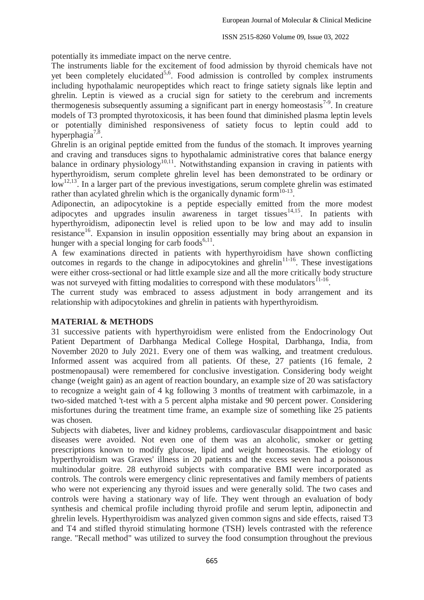potentially its immediate impact on the nerve centre.

The instruments liable for the excitement of food admission by thyroid chemicals have not yet been completely elucidated<sup>5,6</sup>. Food admission is controlled by complex instruments including hypothalamic neuropeptides which react to fringe satiety signals like leptin and ghrelin. Leptin is viewed as a crucial sign for satiety to the cerebrum and increments thermogenesis subsequently assuming a significant part in energy homeostasis<sup>7-9</sup>. In creature models of T3 prompted thyrotoxicosis, it has been found that diminished plasma leptin levels or potentially diminished responsiveness of satiety focus to leptin could add to hyperphagia<sup>7,8</sup>.

Ghrelin is an original peptide emitted from the fundus of the stomach. It improves yearning and craving and transduces signs to hypothalamic administrative cores that balance energy balance in ordinary physiology<sup>10,11</sup>. Notwithstanding expansion in craving in patients with hyperthyroidism, serum complete ghrelin level has been demonstrated to be ordinary or  $\log^{12,13}$ . In a larger part of the previous investigations, serum complete ghrelin was estimated rather than acylated ghrelin which is the organically dynamic form $^{10-13}$ .

Adiponectin, an adipocytokine is a peptide especially emitted from the more modest adipocytes and upgrades insulin awareness in target tissues<sup>14,15</sup>. In patients with hyperthyroidism, adiponectin level is relied upon to be low and may add to insulin resistance<sup>16</sup>. Expansion in insulin opposition essentially may bring about an expansion in hunger with a special longing for carb foods $^{6,11}$ .

A few examinations directed in patients with hyperthyroidism have shown conflicting outcomes in regards to the change in adipocytokines and ghrelin<sup>11-16</sup>. These investigations were either cross-sectional or had little example size and all the more critically body structure was not surveyed with fitting modalities to correspond with these modulators<sup>11-16</sup>.

The current study was embraced to assess adjustment in body arrangement and its relationship with adipocytokines and ghrelin in patients with hyperthyroidism.

# **MATERIAL & METHODS**

31 successive patients with hyperthyroidism were enlisted from the Endocrinology Out Patient Department of Darbhanga Medical College Hospital, Darbhanga, India, from November 2020 to July 2021. Every one of them was walking, and treatment credulous. Informed assent was acquired from all patients. Of these, 27 patients (16 female, 2 postmenopausal) were remembered for conclusive investigation. Considering body weight change (weight gain) as an agent of reaction boundary, an example size of 20 was satisfactory to recognize a weight gain of 4 kg following 3 months of treatment with carbimazole, in a two-sided matched 't-test with a 5 percent alpha mistake and 90 percent power. Considering misfortunes during the treatment time frame, an example size of something like 25 patients was chosen.

Subjects with diabetes, liver and kidney problems, cardiovascular disappointment and basic diseases were avoided. Not even one of them was an alcoholic, smoker or getting prescriptions known to modify glucose, lipid and weight homeostasis. The etiology of hyperthyroidism was Graves' illness in 20 patients and the excess seven had a poisonous multinodular goitre. 28 euthyroid subjects with comparative BMI were incorporated as controls. The controls were emergency clinic representatives and family members of patients who were not experiencing any thyroid issues and were generally solid. The two cases and controls were having a stationary way of life. They went through an evaluation of body synthesis and chemical profile including thyroid profile and serum leptin, adiponectin and ghrelin levels. Hyperthyroidism was analyzed given common signs and side effects, raised T3 and T4 and stifled thyroid stimulating hormone (TSH) levels contrasted with the reference range. "Recall method" was utilized to survey the food consumption throughout the previous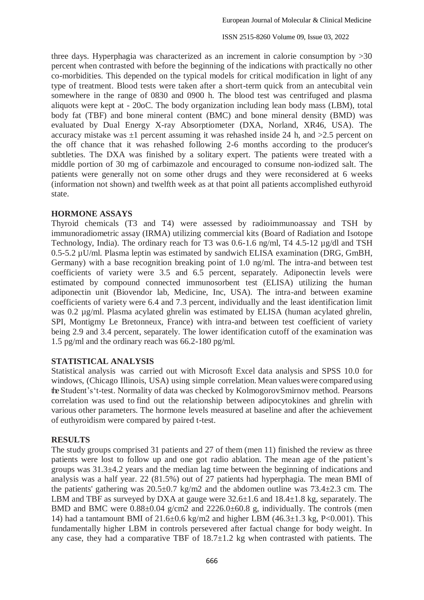ISSN 2515-8260 Volume 09, Issue 03, 2022

three days. Hyperphagia was characterized as an increment in calorie consumption by  $>30$ percent when contrasted with before the beginning of the indications with practically no other co-morbidities. This depended on the typical models for critical modification in light of any type of treatment. Blood tests were taken after a short-term quick from an antecubital vein somewhere in the range of 0830 and 0900 h. The blood test was centrifuged and plasma aliquots were kept at - 20oC. The body organization including lean body mass (LBM), total body fat (TBF) and bone mineral content (BMC) and bone mineral density (BMD) was evaluated by Dual Energy X-ray Absorptiometer (DXA, Norland, XR46, USA). The accuracy mistake was  $\pm 1$  percent assuming it was rehashed inside 24 h, and  $>2.5$  percent on the off chance that it was rehashed following 2-6 months according to the producer's subtleties. The DXA was finished by a solitary expert. The patients were treated with a middle portion of 30 mg of carbimazole and encouraged to consume non-iodized salt. The patients were generally not on some other drugs and they were reconsidered at 6 weeks (information not shown) and twelfth week as at that point all patients accomplished euthyroid state.

## **HORMONE ASSAYS**

Thyroid chemicals (T3 and T4) were assessed by radioimmunoassay and TSH by immunoradiometric assay (IRMA) utilizing commercial kits (Board of Radiation and Isotope Technology, India). The ordinary reach for T3 was 0.6-1.6 ng/ml, T4 4.5-12 µg/dl and TSH 0.5-5.2 µU/ml. Plasma leptin was estimated by sandwich ELISA examination (DRG, GmBH, Germany) with a base recognition breaking point of 1.0 ng/ml. The intra-and between test coefficients of variety were 3.5 and 6.5 percent, separately. Adiponectin levels were estimated by compound connected immunosorbent test (ELISA) utilizing the human adiponectin unit (Biovendor lab, Medicine, Inc, USA). The intra-and between examine coefficients of variety were 6.4 and 7.3 percent, individually and the least identification limit was 0.2 µg/ml. Plasma acylated ghrelin was estimated by ELISA (human acylated ghrelin, SPI, Montigmy Le Bretonneux, France) with intra-and between test coefficient of variety being 2.9 and 3.4 percent, separately. The lower identification cutoff of the examination was 1.5 pg/ml and the ordinary reach was 66.2-180 pg/ml.

# **STATISTICAL ANALYSIS**

Statistical analysis was carried out with Microsoft Excel data analysis and SPSS 10.0 for windows, (Chicago Illinois, USA) using simple correlation. Mean values were compared using the Student's't-test. Normality of data was checked by KolmogorovSmirnov method. Pearsons correlation was used to find out the relationship between adipocytokines and ghrelin with various other parameters. The hormone levels measured at baseline and after the achievement of euthyroidism were compared by paired t-test.

# **RESULTS**

The study groups comprised 31 patients and 27 of them (men 11) finished the review as three patients were lost to follow up and one got radio ablation. The mean age of the patient's groups was 31.3±4.2 years and the median lag time between the beginning of indications and analysis was a half year. 22 (81.5%) out of 27 patients had hyperphagia. The mean BMI of the patients' gathering was  $20.5\pm0.7$  kg/m2 and the abdomen outline was  $73.4\pm2.3$  cm. The LBM and TBF as surveyed by DXA at gauge were  $32.6\pm1.6$  and  $18.4\pm1.8$  kg, separately. The BMD and BMC were  $0.88\pm0.04$  g/cm2 and  $2226.0\pm60.8$  g, individually. The controls (men 14) had a tantamount BMI of  $21.6\pm0.6$  kg/m2 and higher LBM (46.3 $\pm1.3$  kg, P<0.001). This fundamentally higher LBM in controls persevered after factual change for body weight. In any case, they had a comparative TBF of  $18.7 \pm 1.2$  kg when contrasted with patients. The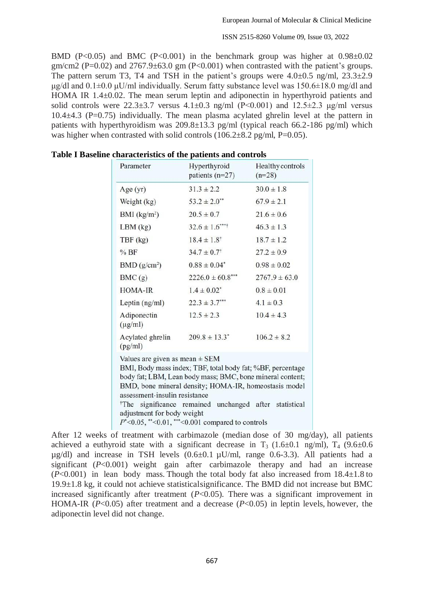ISSN 2515-8260 Volume 09, Issue 03, 2022

BMD (P<0.05) and BMC (P<0.001) in the benchmark group was higher at  $0.98\pm0.02$ gm/cm2 (P=0.02) and  $2767.9\pm63.0$  gm (P<0.001) when contrasted with the patient's groups. The pattern serum T3, T4 and TSH in the patient's groups were  $4.0\pm0.5$  ng/ml,  $23.3\pm2.9$ μg/dl and  $0.1\pm0.0$  μU/ml individually. Serum fatty substance level was  $150.6\pm18.0$  mg/dl and HOMA IR 1.4±0.02. The mean serum leptin and adiponectin in hyperthyroid patients and solid controls were  $22.3\pm3.7$  versus  $4.1\pm0.3$  ng/ml (P<0.001) and  $12.5\pm2.3$  µg/ml versus  $10.4\pm4.3$  (P=0.75) individually. The mean plasma acylated ghrelin level at the pattern in patients with hyperthyroidism was  $209.8 \pm 13.3$  pg/ml (typical reach 66.2-186 pg/ml) which was higher when contrasted with solid controls  $(106.2\pm8.2 \text{ pg/ml}, P=0.05)$ .

| Parameter                                                                                         | Hyperthyroid<br>patients $(n=27)$                                                                                                                                                                                                                                                                              | Healthy controls<br>$(n=28)$ |
|---------------------------------------------------------------------------------------------------|----------------------------------------------------------------------------------------------------------------------------------------------------------------------------------------------------------------------------------------------------------------------------------------------------------------|------------------------------|
| Age $(yr)$                                                                                        | $31.3 \pm 2.2$                                                                                                                                                                                                                                                                                                 | $30.0 \pm 1.8$               |
| Weight $(kg)$                                                                                     | $53.2 \pm 2.0$ **                                                                                                                                                                                                                                                                                              | $67.9 \pm 2.1$               |
| BMI (kg/m <sup>2</sup> )                                                                          | $20.5 \pm 0.7$                                                                                                                                                                                                                                                                                                 | $21.6 \pm 0.6$               |
| $LBM$ (kg)                                                                                        | $32.6 \pm 1.6$ ****                                                                                                                                                                                                                                                                                            | $46.3 \pm 1.3$               |
| $TBF$ (kg)                                                                                        | $18.4 \pm 1.8^{\dagger}$                                                                                                                                                                                                                                                                                       | $18.7 \pm 1.2$               |
| %BF                                                                                               | $34.7 \pm 0.7$ <sup>†</sup>                                                                                                                                                                                                                                                                                    | $27.2 \pm 0.9$               |
| BMD (g/cm <sup>2</sup> )                                                                          | $0.88 \pm 0.04$ <sup>*</sup>                                                                                                                                                                                                                                                                                   | $0.98 \pm 0.02$              |
| BMC(g)                                                                                            | $2226.0 \pm 60.8$ ***                                                                                                                                                                                                                                                                                          | $2767.9 \pm 63.0$            |
| <b>HOMA-IR</b>                                                                                    | $1.4 \pm 0.02^*$                                                                                                                                                                                                                                                                                               | $0.8 \pm 0.01$               |
| Leptin $(ng/ml)$                                                                                  | $22.3 \pm 3.7$ ***                                                                                                                                                                                                                                                                                             | $4.1 \pm 0.3$                |
| Adiponectin<br>$(\mu g/ml)$                                                                       | $12.5 \pm 2.3$                                                                                                                                                                                                                                                                                                 | $10.4 \pm 4.3$               |
| Acylated ghrelin<br>(pg/ml)                                                                       | $209.8 \pm 13.3$ <sup>*</sup>                                                                                                                                                                                                                                                                                  | $106.2 \pm 8.2$              |
| Values are given as mean $\pm$ SEM<br>assessment-insulin resistance<br>adjustment for body weight | BMI, Body mass index; TBF, total body fat; %BF, percentage<br>body fat; LBM, Lean body mass; BMC, bone mineral content;<br>BMD, bone mineral density; HOMA-IR, homeostasis model<br><sup>†</sup> The significance remained unchanged after statistical<br>$P^*$ <0.05, **<0.01, ***<0.001 compared to controls |                              |

**Table I Baseline characteristics of the patients and controls**

After 12 weeks of treatment with carbimazole (median dose of 30 mg/day), all patients achieved a euthyroid state with a significant decrease in  $T_3$  (1.6±0.1 ng/ml),  $T_4$  (9.6±0.6  $\mu$ g/dl) and increase in TSH levels  $(0.6\pm0.1 \,\mu$ U/ml, range 0.6-3.3). All patients had a significant (*P*<0.001) weight gain after carbimazole therapy and had an increase  $(P<0.001)$  in lean body mass. Though the total body fat also increased from  $18.4 \pm 1.8$  to 19.9±1.8 kg, it could not achieve statisticalsignificance. The BMD did not increase but BMC increased significantly after treatment (*P*<0.05). There was a significant improvement in HOMA-IR (*P*<0.05) after treatment and a decrease (*P*<0.05) in leptin levels, however, the adiponectin level did not change.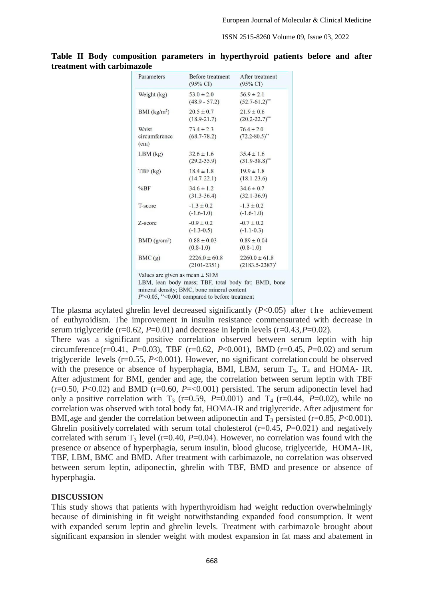| Parameters                     | <b>Before treatment</b><br>$(95\% \text{ CI})$ | A fter treatment<br>$(95\% \text{ CI})$  |
|--------------------------------|------------------------------------------------|------------------------------------------|
| Weight $(kg)$                  | $53.0 \pm 2.0$<br>$(48.9 - 57.2)$              | $56.9 \pm 2.1$<br>$(52.7 - 61.2)^{**}$   |
| $BMI$ (kg/m <sup>2</sup> )     | $20.5 \pm 0.7$<br>$(18.9 - 21.7)$              | $21.9 \pm 0.6$<br>$(20.2 - 22.7)^{**}$   |
| Waist<br>circumference<br>(cm) | $73.4 \pm 2.3$<br>$(68.7 - 78.2)$              | $76.4 \pm 2.0$<br>$(72.2 - 80.5)^{**}$   |
| $LBM$ (kg)                     | $32.6 \pm 1.6$<br>$(29.2 - 35.9)$              | $35.4 \pm 1.6$<br>$(31.9 - 38.8)^{**}$   |
| $TBF$ (kg)                     | $18.4 \pm 1.8$<br>$(14.7 - 22.1)$              | $19.9 \pm 1.8$<br>$(18.1 - 23.6)$        |
| %BF                            | $34.6 \pm 1.2$<br>$(31.3 - 36.4)$              | $34.6 \pm 0.7$<br>$(32.1 - 36.9)$        |
| T-score                        | $-1.3 \pm 0.2$<br>$(-1.6-1.0)$                 | $-1.3 \pm 0.2$<br>$(-1.6-1.0)$           |
| Z-score                        | $-0.9 \pm 0.2$<br>$(-1.3-0.5)$                 | $-0.7 \pm 0.2$<br>$(-1.1-0.3)$           |
| BMD (g/cm <sup>2</sup> )       | $0.88 \pm 0.03$<br>$(0.8-1.0)$                 | $0.89 \pm 0.04$<br>$(0.8-1.0)$           |
| BMC(g)                         | $2226.0 \pm 60.8$<br>$(2101 - 2351)$           | $2260.0 \pm 61.8$<br>$(2183.5 - 2387)^*$ |

**Table II Body composition parameters in hyperthyroid patients before and after treatment with carbimazole**

The plasma acylated ghrelin level decreased significantly  $(P<0.05)$  after the achievement of euthyroidism. The improvement in insulin resistance commensurated with decrease in serum triglyceride (r=0.62, *P*=0.01) and decrease in leptin levels (r=0.43,*P*=0.02).

There was a significant positive correlation observed between serum leptin with hip circumference(r=0.41,  $P=0.03$ ), TBF (r=0.62,  $P<0.001$ ), BMD (r=0.45,  $P=0.02$ ) and serum triglyceride levels (r=0.55, *P*<0.001**)**. However, no significant correlationcould be observed with the presence or absence of hyperphagia, BMI, LBM, serum  $T_3$ ,  $T_4$  and HOMA- IR. After adjustment for BMI, gender and age, the correlation between serum leptin with TBF  $(r=0.50, P<0.02)$  and BMD  $(r=0.60, P=<0.001)$  persisted. The serum adiponectin level had only a positive correlation with  $T_3$  (r=0.59, *P*=0.001) and  $T_4$  (r=0.44, *P*=0.02), while no correlation was observed with total body fat, HOMA-IR and triglyceride. After adjustment for BMI, age and gender the correlation between adiponectin and  $T_3$  persisted (r=0.85, *P*<0.001). Ghrelin positively correlated with serum total cholesterol (r=0.45, P=0.021) and negatively correlated with serum  $T_3$  level (r=0.40, *P*=0.04). However, no correlation was found with the presence or absence of hyperphagia, serum insulin, blood glucose, triglyceride, HOMA-IR, TBF, LBM, BMC and BMD. After treatment with carbimazole, no correlation was observed between serum leptin, adiponectin, ghrelin with TBF, BMD and presence or absence of hyperphagia.

### **DISCUSSION**

This study shows that patients with hyperthyroidism had weight reduction overwhelmingly because of diminishing in fit weight notwithstanding expanded food consumption. It went with expanded serum leptin and ghrelin levels. Treatment with carbimazole brought about significant expansion in slender weight with modest expansion in fat mass and abatement in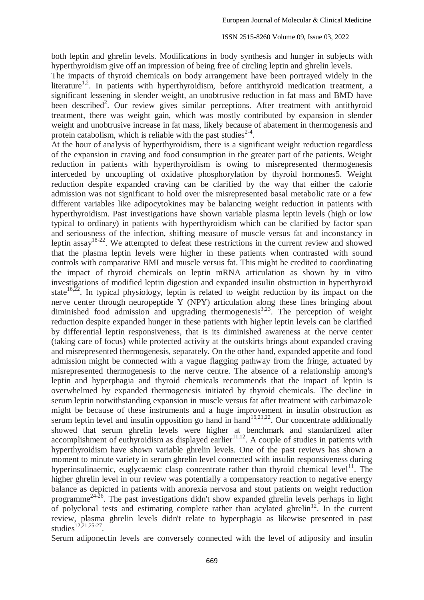both leptin and ghrelin levels. Modifications in body synthesis and hunger in subjects with hyperthyroidism give off an impression of being free of circling leptin and ghrelin levels.

The impacts of thyroid chemicals on body arrangement have been portrayed widely in the literature<sup>1,2</sup>. In patients with hyperthyroidism, before antithyroid medication treatment, a significant lessening in slender weight, an unobtrusive reduction in fat mass and BMD have been described<sup>2</sup>. Our review gives similar perceptions. After treatment with antithyroid treatment, there was weight gain, which was mostly contributed by expansion in slender weight and unobtrusive increase in fat mass, likely because of abatement in thermogenesis and protein catabolism, which is reliable with the past studies $2-4$ .

At the hour of analysis of hyperthyroidism, there is a significant weight reduction regardless of the expansion in craving and food consumption in the greater part of the patients. Weight reduction in patients with hyperthyroidism is owing to misrepresented thermogenesis interceded by uncoupling of oxidative phosphorylation by thyroid hormones5. Weight reduction despite expanded craving can be clarified by the way that either the calorie admission was not significant to hold over the misrepresented basal metabolic rate or a few different variables like adipocytokines may be balancing weight reduction in patients with hyperthyroidism. Past investigations have shown variable plasma leptin levels (high or low typical to ordinary) in patients with hyperthyroidism which can be clarified by factor span and seriousness of the infection, shifting measure of muscle versus fat and inconstancy in leptin assay18-22. We attempted to defeat these restrictions in the current review and showed that the plasma leptin levels were higher in these patients when contrasted with sound controls with comparative BMI and muscle versus fat. This might be credited to coordinating the impact of thyroid chemicals on leptin mRNA articulation as shown by in vitro investigations of modified leptin digestion and expanded insulin obstruction in hyperthyroid state<sup>16,22</sup>. In typical physiology, leptin is related to weight reduction by its impact on the nerve center through neuropeptide Y (NPY) articulation along these lines bringing about diminished food admission and upgrading thermogenesis<sup>3,23</sup>. The perception of weight reduction despite expanded hunger in these patients with higher leptin levels can be clarified by differential leptin responsiveness, that is its diminished awareness at the nerve center (taking care of focus) while protected activity at the outskirts brings about expanded craving and misrepresented thermogenesis, separately. On the other hand, expanded appetite and food admission might be connected with a vague flagging pathway from the fringe, actuated by misrepresented thermogenesis to the nerve centre. The absence of a relationship among's leptin and hyperphagia and thyroid chemicals recommends that the impact of leptin is overwhelmed by expanded thermogenesis initiated by thyroid chemicals. The decline in serum leptin notwithstanding expansion in muscle versus fat after treatment with carbimazole might be because of these instruments and a huge improvement in insulin obstruction as serum leptin level and insulin opposition go hand in hand<sup>16,21,22</sup>. Our concentrate additionally showed that serum ghrelin levels were higher at benchmark and standardized after accomplishment of euthyroidism as displayed earlier<sup>11,12</sup>. A couple of studies in patients with hyperthyroidism have shown variable ghrelin levels. One of the past reviews has shown a moment to minute variety in serum ghrelin level connected with insulin responsiveness during hyperinsulinaemic, euglycaemic clasp concentrate rather than thyroid chemical level<sup>11</sup>. The higher ghrelin level in our review was potentially a compensatory reaction to negative energy balance as depicted in patients with anorexia nervosa and stout patients on weight reduction programme<sup>24-26</sup>. The past investigations didn't show expanded ghrelin levels perhaps in light of polyclonal tests and estimating complete rather than acylated ghrelin<sup>12</sup>. In the current review, plasma ghrelin levels didn't relate to hyperphagia as likewise presented in past studies $12,21,25-27$ .

Serum adiponectin levels are conversely connected with the level of adiposity and insulin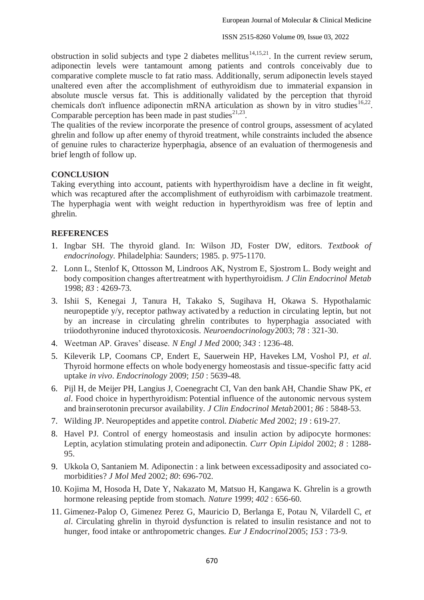ISSN 2515-8260 Volume 09, Issue 03, 2022

obstruction in solid subjects and type 2 diabetes mellitus<sup>14,15,21</sup>. In the current review serum, adiponectin levels were tantamount among patients and controls conceivably due to comparative complete muscle to fat ratio mass. Additionally, serum adiponectin levels stayed unaltered even after the accomplishment of euthyroidism due to immaterial expansion in absolute muscle versus fat. This is additionally validated by the perception that thyroid chemicals don't influence adiponectin mRNA articulation as shown by in vitro studies  $16,22$ . Comparable perception has been made in past studies<sup>21,23</sup>.

The qualities of the review incorporate the presence of control groups, assessment of acylated ghrelin and follow up after enemy of thyroid treatment, while constraints included the absence of genuine rules to characterize hyperphagia, absence of an evaluation of thermogenesis and brief length of follow up.

## **CONCLUSION**

Taking everything into account, patients with hyperthyroidism have a decline in fit weight, which was recaptured after the accomplishment of euthyroidism with carbimazole treatment. The hyperphagia went with weight reduction in hyperthyroidism was free of leptin and ghrelin.

## **REFERENCES**

- 1. Ingbar SH. The thyroid gland. In: Wilson JD, Foster DW, editors. *Textbook of endocrinology.* Philadelphia: Saunders; 1985. p. 975-1170.
- 2. Lonn L, Stenlof K, Ottosson M, Lindroos AK, Nystrom E, Sjostrom L. Body weight and body composition changes aftertreatment with hyperthyroidism. *J Clin Endocrinol Metab* 1998; *83* : 4269-73.
- 3. Ishii S, Kenegai J, Tanura H, Takako S, Sugihava H, Okawa S. Hypothalamic neuropeptide y/y, receptor pathway activated by a reduction in circulating leptin, but not by an increase in circulating ghrelin contributes to hyperphagia associated with triiodothyronine induced thyrotoxicosis. *Neuroendocrinology*2003; *78* : 321-30.
- 4. Weetman AP. Graves' disease. *N Engl J Med* 2000; *343* : 1236-48.
- 5. Kileverik LP, Coomans CP, Endert E, Sauerwein HP, Havekes LM, Voshol PJ, *et al*. Thyroid hormone effects on whole bodyenergy homeostasis and tissue-specific fatty acid uptake *in vivo*. *Endocrinology* 2009; *150* : 5639-48.
- 6. Pijl H, de Meijer PH, Langius J, Coenegracht CI, Van den bankAH, Chandie Shaw PK, *et al*. Food choice in hyperthyroidism: Potential influence of the autonomic nervous system and brainserotonin precursor availability. *J Clin Endocrinol Metab*2001; *86* : 5848-53.
- 7. Wilding JP. Neuropeptides and appetite control. *Diabetic Med* 2002; *19* : 619-27.
- 8. Havel PJ. Control of energy homeostasis and insulin action by adipocyte hormones: Leptin, acylation stimulating protein and adiponectin. *Curr Opin Lipidol* 2002; *8* : 1288- 95.
- 9. Ukkola O, Santaniem M. Adiponectin : a link between excessadiposity and associated comorbidities? *J Mol Med* 2002; *80*: 696-702.
- 10. Kojima M, Hosoda H, Date Y, Nakazato M, Matsuo H, Kangawa K. Ghrelin is a growth hormone releasing peptide from stomach. *Nature* 1999; *402* : 656-60.
- 11. Gimenez-Palop O, Gimenez Perez G, Mauricio D, Berlanga E, Potau N, Vilardell C, *et al*. Circulating ghrelin in thyroid dysfunction is related to insulin resistance and not to hunger, food intake or anthropometric changes. *Eur J Endocrinol*2005; *153* : 73-9.